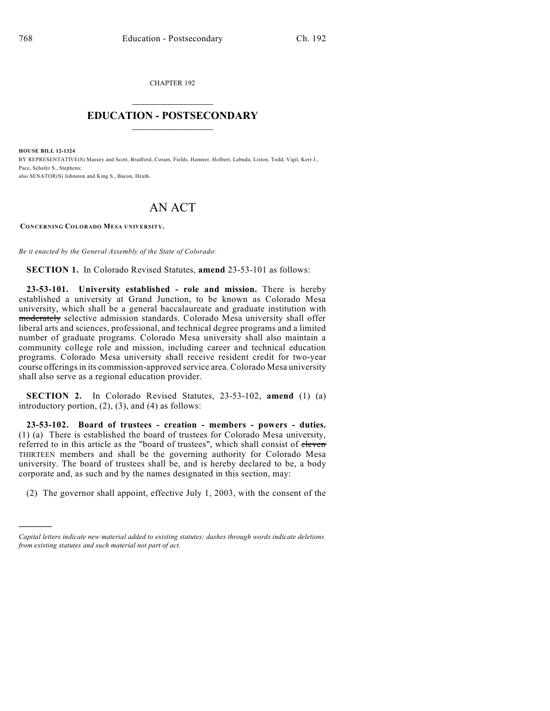)))))

CHAPTER 192  $\overline{\phantom{a}}$  . The set of the set of the set of the set of the set of the set of the set of the set of the set of the set of the set of the set of the set of the set of the set of the set of the set of the set of the set o

## **EDUCATION - POSTSECONDARY**  $\frac{1}{2}$  ,  $\frac{1}{2}$  ,  $\frac{1}{2}$  ,  $\frac{1}{2}$  ,  $\frac{1}{2}$  ,  $\frac{1}{2}$  ,  $\frac{1}{2}$

**HOUSE BILL 12-1324** BY REPRESENTATIVE(S) Massey and Scott, Bradford, Coram, Fields, Hamner, Holbert, Labuda, Liston, Todd, Vigil, Kerr J., Pace, Schafer S., Stephens; also SENATOR(S) Johnston and King S., Bacon, Heath.

## AN ACT

**CONCERNING COLORADO MESA UNIVERSITY.**

*Be it enacted by the General Assembly of the State of Colorado:*

**SECTION 1.** In Colorado Revised Statutes, **amend** 23-53-101 as follows:

**23-53-101. University established - role and mission.** There is hereby established a university at Grand Junction, to be known as Colorado Mesa university, which shall be a general baccalaureate and graduate institution with moderately selective admission standards. Colorado Mesa university shall offer liberal arts and sciences, professional, and technical degree programs and a limited number of graduate programs. Colorado Mesa university shall also maintain a community college role and mission, including career and technical education programs. Colorado Mesa university shall receive resident credit for two-year course offeringsin its commission-approved service area. Colorado Mesa university shall also serve as a regional education provider.

**SECTION 2.** In Colorado Revised Statutes, 23-53-102, **amend** (1) (a) introductory portion,  $(2)$ ,  $(3)$ , and  $(4)$  as follows:

**23-53-102. Board of trustees - creation - members - powers - duties.** (1) (a) There is established the board of trustees for Colorado Mesa university, referred to in this article as the "board of trustees", which shall consist of eleven THIRTEEN members and shall be the governing authority for Colorado Mesa university. The board of trustees shall be, and is hereby declared to be, a body corporate and, as such and by the names designated in this section, may:

(2) The governor shall appoint, effective July 1, 2003, with the consent of the

*Capital letters indicate new material added to existing statutes; dashes through words indicate deletions from existing statutes and such material not part of act.*